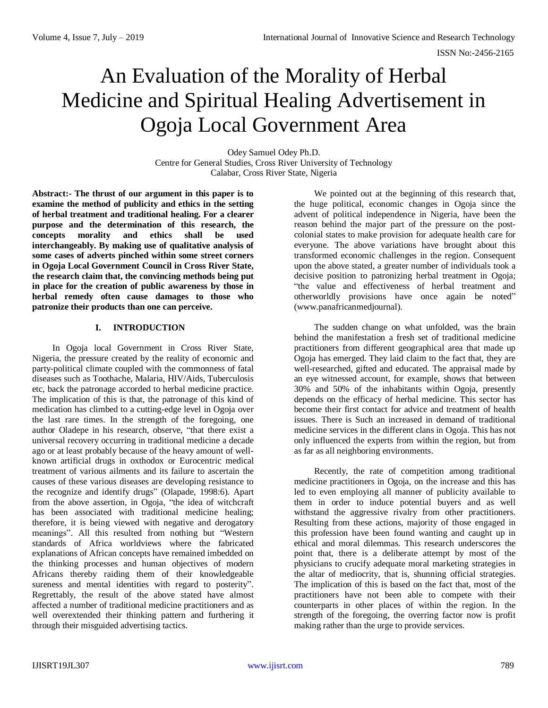# An Evaluation of the Morality of Herbal Medicine and Spiritual Healing Advertisement in Ogoja Local Government Area

Odey Samuel Odey Ph.D. Centre for General Studies, Cross River University of Technology Calabar, Cross River State, Nigeria

**Abstract:- The thrust of our argument in this paper is to examine the method of publicity and ethics in the setting of herbal treatment and traditional healing. For a clearer purpose and the determination of this research, the concepts morality and ethics shall be used interchangeably. By making use of qualitative analysis of some cases of adverts pinched within some street corners in Ogoja Local Government Council in Cross River State, the research claim that, the convincing methods being put in place for the creation of public awareness by those in herbal remedy often cause damages to those who patronize their products than one can perceive.** 

#### **I. INTRODUCTION**

In Ogoja local Government in Cross River State, Nigeria, the pressure created by the reality of economic and party-political climate coupled with the commonness of fatal diseases such as Toothache, Malaria, HIV/Aids, Tuberculosis etc, back the patronage accorded to herbal medicine practice. The implication of this is that, the patronage of this kind of medication has climbed to a cutting-edge level in Ogoja over the last rare times. In the strength of the foregoing, one author Oladepe in his research, observe, "that there exist a universal recovery occurring in traditional medicine a decade ago or at least probably because of the heavy amount of wellknown artificial drugs in oxthodox or Eurocentric medical treatment of various ailments and its failure to ascertain the causes of these various diseases are developing resistance to the recognize and identify drugs" (Olapade, 1998:6). Apart from the above assertion, in Ogoja, "the idea of witchcraft has been associated with traditional medicine healing; therefore, it is being viewed with negative and derogatory meanings". All this resulted from nothing but "Western standards of Africa worldviews where the fabricated explanations of African concepts have remained imbedded on the thinking processes and human objectives of modern Africans thereby raiding them of their knowledgeable sureness and mental identities with regard to posterity". Regrettably, the result of the above stated have almost affected a number of traditional medicine practitioners and as well overextended their thinking pattern and furthering it through their misguided advertising tactics.

We pointed out at the beginning of this research that, the huge political, economic changes in Ogoja since the advent of political independence in Nigeria, have been the reason behind the major part of the pressure on the postcolonial states to make provision for adequate health care for everyone. The above variations have brought about this transformed economic challenges in the region. Consequent upon the above stated, a greater number of individuals took a decisive position to patronizing herbal treatment in Ogoja; "the value and effectiveness of herbal treatment and otherworldly provisions have once again be noted" [\(www.panafricanmedjournal\)](http://www.panafricanmedjournal/).

The sudden change on what unfolded, was the brain behind the manifestation a fresh set of traditional medicine practitioners from different geographical area that made up Ogoja has emerged. They laid claim to the fact that, they are well-researched, gifted and educated. The appraisal made by an eye witnessed account, for example, shows that between 30% and 50% of the inhabitants within Ogoja, presently depends on the efficacy of herbal medicine. This sector has become their first contact for advice and treatment of health issues. There is Such an increased in demand of traditional medicine services in the different clans in Ogoja. This has not only influenced the experts from within the region, but from as far as all neighboring environments.

Recently, the rate of competition among traditional medicine practitioners in Ogoja, on the increase and this has led to even employing all manner of publicity available to them in order to induce potential buyers and as well withstand the aggressive rivalry from other practitioners. Resulting from these actions, majority of those engaged in this profession have been found wanting and caught up in ethical and moral dilemmas. This research underscores the point that, there is a deliberate attempt by most of the physicians to crucify adequate moral marketing strategies in the altar of mediocrity, that is, shunning official strategies. The implication of this is based on the fact that, most of the practitioners have not been able to compete with their counterparts in other places of within the region. In the strength of the foregoing, the overring factor now is profit making rather than the urge to provide services.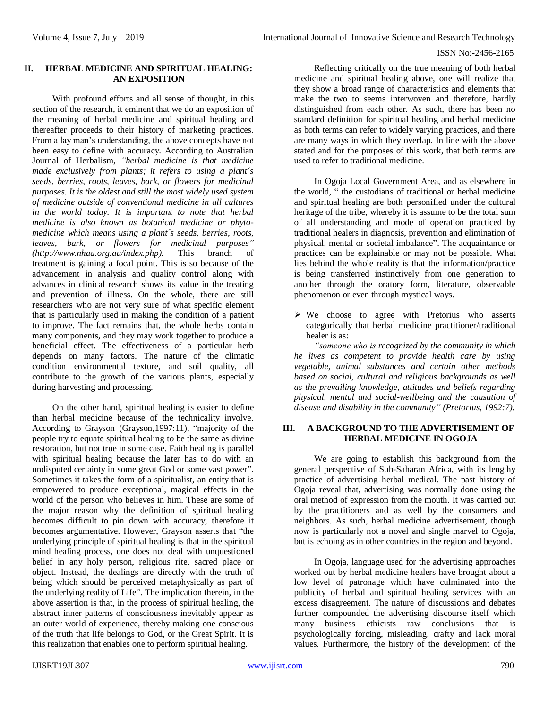### ISSN No:-2456-2165

## **II. HERBAL MEDICINE AND SPIRITUAL HEALING: AN EXPOSITION**

With profound efforts and all sense of thought, in this section of the research, it eminent that we do an exposition of the meaning of herbal medicine and spiritual healing and thereafter proceeds to their history of marketing practices. From a lay man's understanding, the above concepts have not been easy to define with accuracy. According to Australian Journal of Herbalism, *"herbal medicine is that medicine made exclusively from plants; it refers to using a plant´s seeds, berries, roots, leaves, bark, or flowers for medicinal purposes. It is the oldest and still the most widely used system of medicine outside of conventional medicine in all cultures in the world today. It is important to note that herbal medicine is also known as botanical medicine or phytomedicine which means using a plant´s seeds, berries, roots, leaves, bark, or flowers for medicinal purposes" [\(http://www.nhaa.org.au/index.php\)](http://www.nhaa.org.au/index.php).* This branch of treatment is gaining a focal point. This is so because of the advancement in analysis and quality control along with advances in clinical research shows its value in the treating and prevention of illness. On the whole, there are still researchers who are not very sure of what specific element that is particularly used in making the condition of a patient to improve. The fact remains that, the whole herbs contain many components, and they may work together to produce a beneficial effect. The effectiveness of a particular herb depends on many factors. The nature of the climatic condition environmental texture, and soil quality, all contribute to the growth of the various plants, especially during harvesting and processing.

On the other hand, spiritual healing is easier to define than herbal medicine because of the technicality involve. According to Grayson (Grayson,1997:11), "majority of the people try to equate spiritual healing to be the same as divine restoration, but not true in some case. Faith healing is parallel with spiritual healing because the later has to do with an undisputed certainty in some great God or some vast power". Sometimes it takes the form of a spiritualist, an entity that is empowered to produce exceptional, magical effects in the world of the person who believes in him. These are some of the major reason why the definition of spiritual healing becomes difficult to pin down with accuracy, therefore it becomes argumentative. However, Grayson asserts that "the underlying principle of spiritual healing is that in the spiritual mind healing process, one does not deal with unquestioned belief in any holy person, religious rite, sacred place or object. Instead, the dealings are directly with the truth of being which should be perceived metaphysically as part of the underlying reality of Life". The implication therein, in the above assertion is that, in the process of spiritual healing, the abstract inner patterns of consciousness inevitably appear as an outer world of experience, thereby making one conscious of the truth that life belongs to God, or the Great Spirit. It is this realization that enables one to perform spiritual healing.

Reflecting critically on the true meaning of both herbal medicine and spiritual healing above, one will realize that they show a broad range of characteristics and elements that make the two to seems interwoven and therefore, hardly distinguished from each other. As such, there has been no standard definition for spiritual healing and herbal medicine as both terms can refer to widely varying practices, and there are many ways in which they overlap. In line with the above stated and for the purposes of this work, that both terms are used to refer to traditional medicine.

In Ogoja Local Government Area, and as elsewhere in the world, " the custodians of traditional or herbal medicine and spiritual healing are both personified under the cultural heritage of the tribe, whereby it is assume to be the total sum of all understanding and mode of operation practiced by traditional healers in diagnosis, prevention and elimination of physical, mental or societal imbalance". The acquaintance or practices can be explainable or may not be possible. What lies behind the whole reality is that the information/practice is being transferred instinctively from one generation to another through the oratory form, literature, observable phenomenon or even through mystical ways.

 $\triangleright$  We choose to agree with Pretorius who asserts categorically that herbal medicine practitioner/traditional healer is as:

*"someone who is recognized by the community in which he lives as competent to provide health care by using vegetable, animal substances and certain other methods based on social, cultural and religious backgrounds as well as the prevailing knowledge, attitudes and beliefs regarding physical, mental and social-wellbeing and the causation of disease and disability in the community" (Pretorius, 1992:7).*

# **III. A BACKGROUND TO THE ADVERTISEMENT OF HERBAL MEDICINE IN OGOJA**

We are going to establish this background from the general perspective of Sub-Saharan Africa, with its lengthy practice of advertising herbal medical. The past history of Ogoja reveal that, advertising was normally done using the oral method of expression from the mouth. It was carried out by the practitioners and as well by the consumers and neighbors. As such, herbal medicine advertisement, though now is particularly not a novel and single marvel to Ogoja, but is echoing as in other countries in the region and beyond.

In Ogoja, language used for the advertising approaches worked out by herbal medicine healers have brought about a low level of patronage which have culminated into the publicity of herbal and spiritual healing services with an excess disagreement. The nature of discussions and debates further compounded the advertising discourse itself which many business ethicists raw conclusions that is psychologically forcing, misleading, crafty and lack moral values. Furthermore, the history of the development of the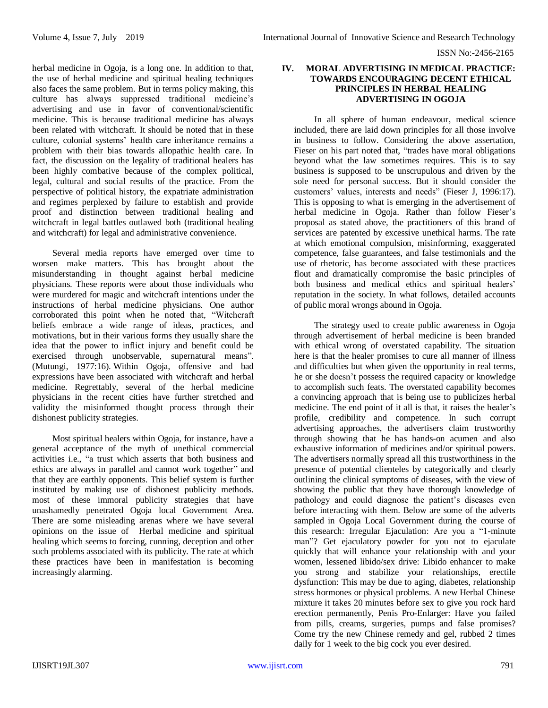herbal medicine in Ogoja, is a long one. In addition to that, the use of herbal medicine and spiritual healing techniques also faces the same problem. But in terms policy making, this culture has always suppressed traditional medicine's advertising and use in favor of conventional/scientific medicine. This is because traditional medicine has always been related with witchcraft. It should be noted that in these culture, colonial systems' health care inheritance remains a problem with their bias towards allopathic health care. In fact, the discussion on the legality of traditional healers has been highly combative because of the complex political, legal, cultural and social results of the practice. From the perspective of political history, the expatriate administration and regimes perplexed by failure to establish and provide proof and distinction between traditional healing and witchcraft in legal battles outlawed both (traditional healing and witchcraft) for legal and administrative convenience.

Several media reports have emerged over time to worsen make matters. This has brought about the misunderstanding in thought against herbal medicine physicians. These reports were about those individuals who were murdered for magic and witchcraft intentions under the instructions of herbal medicine physicians. One author corroborated this point when he noted that, "Witchcraft" beliefs embrace a wide range of ideas, practices, and motivations, but in their various forms they usually share the idea that the power to inflict injury and benefit could be exercised through unobservable, supernatural means". (Mutungi, 1977:16). Within Ogoja, offensive and bad expressions have been associated with witchcraft and herbal medicine. Regrettably, several of the herbal medicine physicians in the recent cities have further stretched and validity the misinformed thought process through their dishonest publicity strategies.

Most spiritual healers within Ogoja, for instance, have a general acceptance of the myth of unethical commercial activities i.e., "a trust which asserts that both business and ethics are always in parallel and cannot work together" and that they are earthly opponents. This belief system is further instituted by making use of dishonest publicity methods. most of these immoral publicity strategies that have unashamedly penetrated Ogoja local Government Area. There are some misleading arenas where we have several opinions on the issue of Herbal medicine and spiritual healing which seems to forcing, cunning, deception and other such problems associated with its publicity. The rate at which these practices have been in manifestation is becoming increasingly alarming.

### **IV. MORAL ADVERTISING IN MEDICAL PRACTICE: TOWARDS ENCOURAGING DECENT ETHICAL PRINCIPLES IN HERBAL HEALING ADVERTISING IN OGOJA**

In all sphere of human endeavour, medical science included, there are laid down principles for all those involve in business to follow. Considering the above assertation, Fieser on his part noted that, "trades have moral obligations beyond what the law sometimes requires. This is to say business is supposed to be unscrupulous and driven by the sole need for personal success. But it should consider the customers' values, interests and needs" (Fieser J, 1996:17). This is opposing to what is emerging in the advertisement of herbal medicine in Ogoja. Rather than follow Fieser's proposal as stated above, the practitioners of this brand of services are patented by excessive unethical harms. The rate at which emotional compulsion, misinforming, exaggerated competence, false guarantees, and false testimonials and the use of rhetoric, has become associated with these practices flout and dramatically compromise the basic principles of both business and medical ethics and spiritual healers' reputation in the society. In what follows, detailed accounts of public moral wrongs abound in Ogoja.

The strategy used to create public awareness in Ogoja through advertisement of herbal medicine is been branded with ethical wrong of overstated capability. The situation here is that the healer promises to cure all manner of illness and difficulties but when given the opportunity in real terms, he or she doesn't possess the required capacity or knowledge to accomplish such feats. The overstated capability becomes a convincing approach that is being use to publicizes herbal medicine. The end point of it all is that, it raises the healer's profile, credibility and competence. In such corrupt advertising approaches, the advertisers claim trustworthy through showing that he has hands-on acumen and also exhaustive information of medicines and/or spiritual powers. The advertisers normally spread all this trustworthiness in the presence of potential clienteles by categorically and clearly outlining the clinical symptoms of diseases, with the view of showing the public that they have thorough knowledge of pathology and could diagnose the patient's diseases even before interacting with them. Below are some of the adverts sampled in Ogoja Local Government during the course of this research: Irregular Ejaculation: Are you a "1-minute man"? Get ejaculatory powder for you not to ejaculate quickly that will enhance your relationship with and your women, lessened libido/sex drive: Libido enhancer to make you strong and stabilize your relationships, erectile dysfunction: This may be due to aging, diabetes, relationship stress hormones or physical problems. A new Herbal Chinese mixture it takes 20 minutes before sex to give you rock hard erection permanently, Penis Pro-Enlarger: Have you failed from pills, creams, surgeries, pumps and false promises? Come try the new Chinese remedy and gel, rubbed 2 times daily for 1 week to the big cock you ever desired.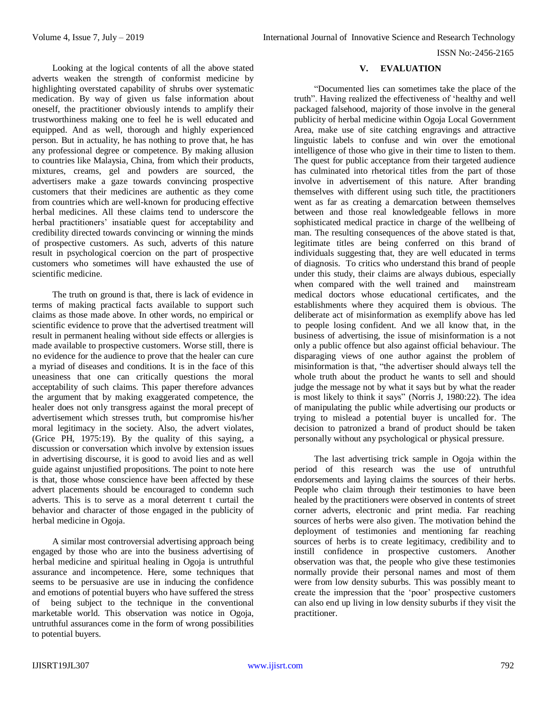ISSN No:-2456-2165

Looking at the logical contents of all the above stated adverts weaken the strength of conformist medicine by highlighting overstated capability of shrubs over systematic medication. By way of given us false information about oneself, the practitioner obviously intends to amplify their trustworthiness making one to feel he is well educated and equipped. And as well, thorough and highly experienced person. But in actuality, he has nothing to prove that, he has any professional degree or competence. By making allusion to countries like Malaysia, China, from which their products, mixtures, creams, gel and powders are sourced, the advertisers make a gaze towards convincing prospective customers that their medicines are authentic as they come from countries which are well-known for producing effective herbal medicines. All these claims tend to underscore the herbal practitioners' insatiable quest for acceptability and credibility directed towards convincing or winning the minds of prospective customers. As such, adverts of this nature result in psychological coercion on the part of prospective customers who sometimes will have exhausted the use of scientific medicine.

The truth on ground is that, there is lack of evidence in terms of making practical facts available to support such claims as those made above. In other words, no empirical or scientific evidence to prove that the advertised treatment will result in permanent healing without side effects or allergies is made available to prospective customers. Worse still, there is no evidence for the audience to prove that the healer can cure a myriad of diseases and conditions. It is in the face of this uneasiness that one can critically questions the moral acceptability of such claims. This paper therefore advances the argument that by making exaggerated competence, the healer does not only transgress against the moral precept of advertisement which stresses truth, but compromise his/her moral legitimacy in the society. Also, the advert violates, (Grice PH, 1975:19). By the quality of this saying, a discussion or conversation which involve by extension issues in advertising discourse, it is good to avoid lies and as well guide against unjustified propositions. The point to note here is that, those whose conscience have been affected by these advert placements should be encouraged to condemn such adverts. This is to serve as a moral deterrent t curtail the behavior and character of those engaged in the publicity of herbal medicine in Ogoja.

A similar most controversial advertising approach being engaged by those who are into the business advertising of herbal medicine and spiritual healing in Ogoja is untruthful assurance and incompetence. Here, some techniques that seems to be persuasive are use in inducing the confidence and emotions of potential buyers who have suffered the stress of being subject to the technique in the conventional marketable world. This observation was notice in Ogoja, untruthful assurances come in the form of wrong possibilities to potential buyers.

# **V. EVALUATION**

"Documented lies can sometimes take the place of the truth". Having realized the effectiveness of 'healthy and well packaged falsehood, majority of those involve in the general publicity of herbal medicine within Ogoja Local Government Area, make use of site catching engravings and attractive linguistic labels to confuse and win over the emotional intelligence of those who give in their time to listen to them. The quest for public acceptance from their targeted audience has culminated into rhetorical titles from the part of those involve in advertisement of this nature. After branding themselves with different using such title, the practitioners went as far as creating a demarcation between themselves between and those real knowledgeable fellows in more sophisticated medical practice in charge of the wellbeing of man. The resulting consequences of the above stated is that, legitimate titles are being conferred on this brand of individuals suggesting that, they are well educated in terms of diagnosis. To critics who understand this brand of people under this study, their claims are always dubious, especially when compared with the well trained and mainstream medical doctors whose educational certificates, and the establishments where they acquired them is obvious. The deliberate act of misinformation as exemplify above has led to people losing confident. And we all know that, in the business of advertising, the issue of misinformation is a not only a public offence but also against official behaviour. The disparaging views of one author against the problem of misinformation is that, "the advertiser should always tell the whole truth about the product he wants to sell and should judge the message not by what it says but by what the reader is most likely to think it says" (Norris J, 1980:22). The idea of manipulating the public while advertising our products or trying to mislead a potential buyer is uncalled for. The decision to patronized a brand of product should be taken personally without any psychological or physical pressure.

The last advertising trick sample in Ogoja within the period of this research was the use of untruthful endorsements and laying claims the sources of their herbs. People who claim through their testimonies to have been healed by the practitioners were observed in contents of street corner adverts, electronic and print media. Far reaching sources of herbs were also given. The motivation behind the deployment of testimonies and mentioning far reaching sources of herbs is to create legitimacy, credibility and to instill confidence in prospective customers. Another observation was that, the people who give these testimonies normally provide their personal names and most of them were from low density suburbs. This was possibly meant to create the impression that the 'poor' prospective customers can also end up living in low density suburbs if they visit the practitioner.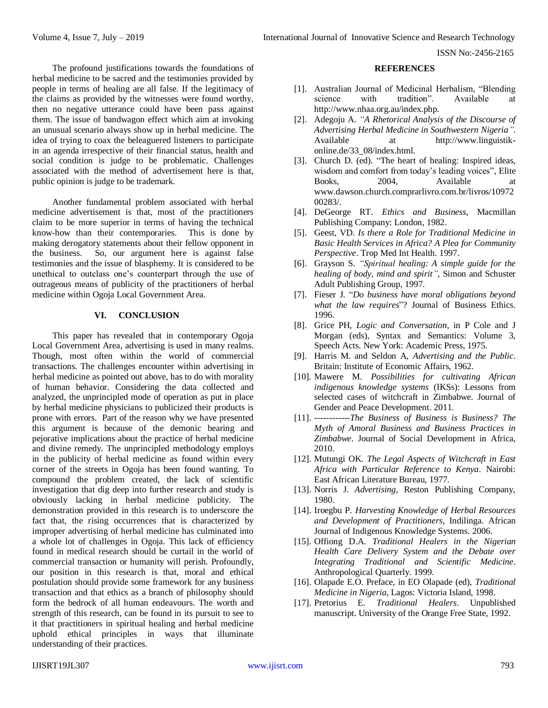ISSN No:-2456-2165

The profound justifications towards the foundations of herbal medicine to be sacred and the testimonies provided by people in terms of healing are all false. If the legitimacy of the claims as provided by the witnesses were found worthy, then no negative utterance could have been pass against them. The issue of bandwagon effect which aim at invoking an unusual scenario always show up in herbal medicine. The idea of trying to coax the beleaguered listeners to participate in an agenda irrespective of their financial status, health and social condition is judge to be problematic. Challenges associated with the method of advertisement here is that, public opinion is judge to be trademark.

Another fundamental problem associated with herbal medicine advertisement is that, most of the practitioners claim to be more superior in terms of having the technical know-how than their contemporaries. This is done by making derogatory statements about their fellow opponent in the business. So, our argument here is against false testimonies and the issue of blasphemy. It is considered to be unethical to outclass one's counterpart through the use of outrageous means of publicity of the practitioners of herbal medicine within Ogoja Local Government Area.

## **VI. CONCLUSION**

This paper has revealed that in contemporary Ogoja Local Government Area, advertising is used in many realms. Though, most often within the world of commercial transactions. The challenges encounter within advertising in herbal medicine as pointed out above, has to do with morality of human behavior. Considering the data collected and analyzed, the unprincipled mode of operation as put in place by herbal medicine physicians to publicized their products is prone with errors. Part of the reason why we have presented this argument is because of the demonic bearing and pejorative implications about the practice of herbal medicine and divine remedy. The unprincipled methodology employs in the publicity of herbal medicine as found within every corner of the streets in Ogoja has been found wanting. To compound the problem created, the lack of scientific investigation that dig deep into further research and study is obviously lacking in herbal medicine publicity. The demonstration provided in this research is to underscore the fact that, the rising occurrences that is characterized by improper advertising of herbal medicine has culminated into a whole lot of challenges in Ogoja. This lack of efficiency found in medical research should be curtail in the world of commercial transaction or humanity will perish. Profoundly, our position in this research is that, moral and ethical postulation should provide some framework for any business transaction and that ethics as a branch of philosophy should form the bedrock of all human endeavours. The worth and strength of this research, can be found in its pursuit to see to it that practitioners in spiritual healing and herbal medicine uphold ethical principles in ways that illuminate understanding of their practices.

## **REFERENCES**

- [1]. Australian Journal of Medicinal Herbalism, "Blending science with tradition". Available at http://www.nhaa.org.au/index.php.
- [2]. Adegoju A. *"A Rhetorical Analysis of the Discourse of Advertising Herbal Medicine in Southwestern Nigeria"*. Available at http://www.linguistikonline.de/33\_08/index.html.
- [3]. Church D. (ed). "The heart of healing: Inspired ideas, wisdom and comfort from today's leading voices", Elite Books, 2004, Available at www.dawson.church.comprarlivro.com.br/livros/10972 00283/.
- [4]. DeGeorge RT. *Ethics and Business*, Macmillan Publishing Company: London, 1982.
- [5]. Geest, VD. *Is there a Role for Traditional Medicine in Basic Health Services in Africa? A Plea for Community Perspective*. Trop Med Int Health. 1997.
- [6]. Grayson S. *"Spiritual healing: A simple guide for the healing of body, mind and spirit",* Simon and Schuster Adult Publishing Group, 1997.
- [7]. Fieser J. "*Do business have moral obligations beyond what the law requires*"? Journal of Business Ethics. 1996.
- [8]. Grice PH*, Logic and Conversation*, in P Cole and J Morgan (eds), Syntax and Semantics: Volume 3, Speech Acts. New York: Academic Press, 1975.
- [9]. Harris M. and Seldon A, *Advertising and the Public*. Britain: Institute of Economic Affairs, 1962.
- [10]. Mawere M. *Possibilities for cultivating African indigenous knowledge systems* (IKSs): Lessons from selected cases of witchcraft in Zimbabwe. Journal of Gender and Peace Development. 2011.
- [11]. ------------*The Business of Business is Business? The Myth of Amoral Business and Business Practices in Zimbabwe*. Journal of Social Development in Africa, 2010.
- [12]. Mutungi OK. *The Legal Aspects of Witchcraft in East Africa with Particular Reference to Kenya*. Nairobi: East African Literature Bureau, 1977.
- [13]. Norris J. *Advertising*, Reston Publishing Company, 1980.
- [14]. Iroegbu P. *Harvesting Knowledge of Herbal Resources and Development of Practitioners*, Indilinga. African Journal of Indigenous Knowledge Systems. 2006.
- [15]. Offiong D.A. *Traditional Healers in the Nigerian Health Care Delivery System and the Debate over Integrating Traditional and Scientific Medicine*. Anthropological Quarterly. 1999.
- [16]. Olapade E.O. Preface, in EO Olapade (ed), *Traditional Medicine in Nigeria*, Lagos: Victoria Island, 1998.
- [17]. Pretorius E. *Traditional Healers*. Unpublished manuscript. University of the Orange Free State, 1992.